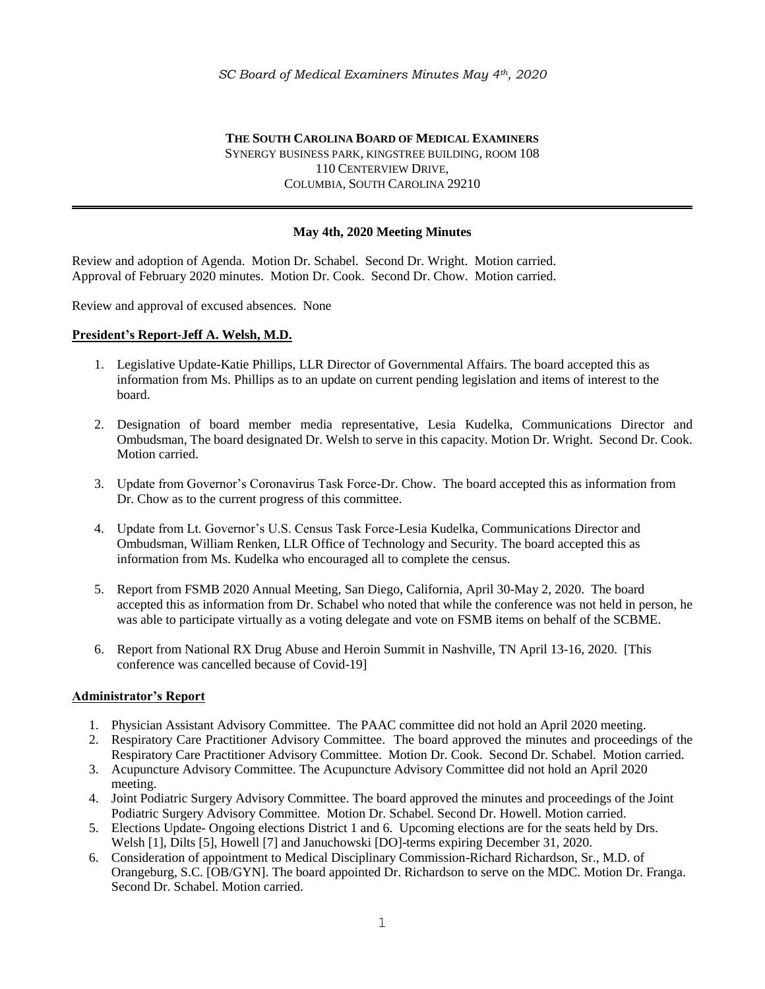**THE SOUTH CAROLINA BOARD OF MEDICAL EXAMINERS** SYNERGY BUSINESS PARK, KINGSTREE BUILDING, ROOM 108 110 CENTERVIEW DRIVE, COLUMBIA, SOUTH CAROLINA 29210

### **May 4th, 2020 Meeting Minutes**

Review and adoption of Agenda. Motion Dr. Schabel. Second Dr. Wright. Motion carried. Approval of February 2020 minutes. Motion Dr. Cook. Second Dr. Chow. Motion carried.

Review and approval of excused absences. None

#### **President's Report-Jeff A. Welsh, M.D.**

- 1. Legislative Update-Katie Phillips, LLR Director of Governmental Affairs. The board accepted this as information from Ms. Phillips as to an update on current pending legislation and items of interest to the board.
- 2. Designation of board member media representative, Lesia Kudelka, Communications Director and Ombudsman, The board designated Dr. Welsh to serve in this capacity. Motion Dr. Wright. Second Dr. Cook. Motion carried.
- 3. Update from Governor's Coronavirus Task Force-Dr. Chow. The board accepted this as information from Dr. Chow as to the current progress of this committee.
- 4. Update from Lt. Governor's U.S. Census Task Force-Lesia Kudelka, Communications Director and Ombudsman, William Renken, LLR Office of Technology and Security. The board accepted this as information from Ms. Kudelka who encouraged all to complete the census.
- 5. Report from FSMB 2020 Annual Meeting, San Diego, California, April 30-May 2, 2020. The board accepted this as information from Dr. Schabel who noted that while the conference was not held in person, he was able to participate virtually as a voting delegate and vote on FSMB items on behalf of the SCBME.
- 6. Report from National RX Drug Abuse and Heroin Summit in Nashville, TN April 13-16, 2020. [This conference was cancelled because of Covid-19]

### **Administrator's Report**

- 1. Physician Assistant Advisory Committee. The PAAC committee did not hold an April 2020 meeting.
- 2. Respiratory Care Practitioner Advisory Committee. The board approved the minutes and proceedings of the Respiratory Care Practitioner Advisory Committee. Motion Dr. Cook. Second Dr. Schabel. Motion carried.
- 3. Acupuncture Advisory Committee. The Acupuncture Advisory Committee did not hold an April 2020 meeting.
- 4. Joint Podiatric Surgery Advisory Committee. The board approved the minutes and proceedings of the Joint Podiatric Surgery Advisory Committee. Motion Dr. Schabel. Second Dr. Howell. Motion carried.
- 5. Elections Update- Ongoing elections District 1 and 6. Upcoming elections are for the seats held by Drs. Welsh [1], Dilts [5], Howell [7] and Januchowski [DO]-terms expiring December 31, 2020.
- 6. Consideration of appointment to Medical Disciplinary Commission-Richard Richardson, Sr., M.D. of Orangeburg, S.C. [OB/GYN]. The board appointed Dr. Richardson to serve on the MDC. Motion Dr. Franga. Second Dr. Schabel. Motion carried.